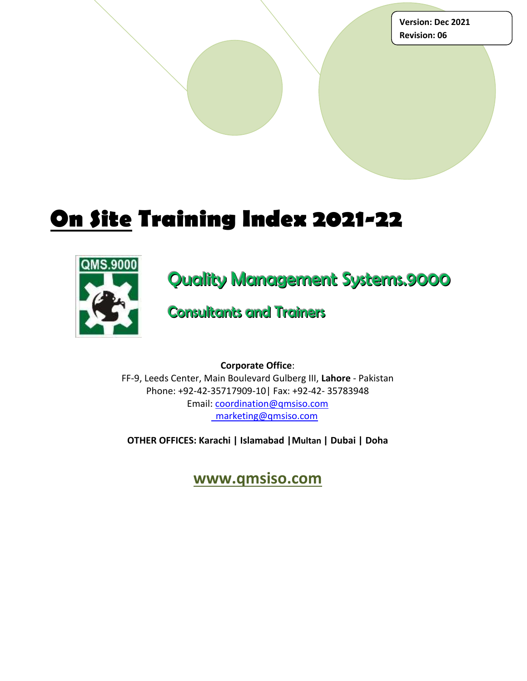**Version: Dec 2021 Revision: 06**

# **On Site Training Index 2021-22**



Quality Management Systems.9000

Consulltants and Traiiners

**Corporate Office**: FF-9, Leeds Center, Main Boulevard Gulberg III, **Lahore** - Pakistan Phone: +92-42-35717909-10| Fax: +92-42- 35783948 Email: [coordination@qmsiso.com](mailto:lhr@qmsiso.com) [marketing@qmsiso.com](mailto:marketing@qmsiso.com)

**OTHER OFFICES: Karachi | Islamabad |Multan | Dubai | Doha**

**[www.qmsiso.com](http://www.qmsiso.com/)**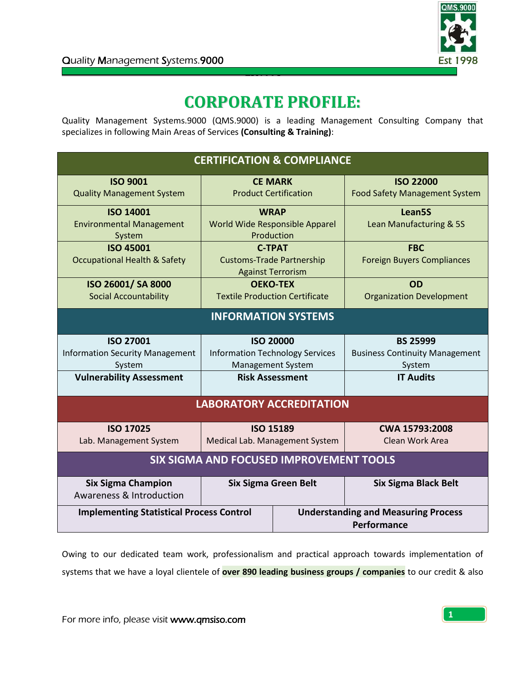

# **CORPORATE PROFILE:**

Quality Management Systems.9000 (QMS.9000) is a leading Management Consulting Company that specializes in following Main Areas of Services **(Consulting & Training)**:

| <b>CERTIFICATION &amp; COMPLIANCE</b>                                                         |  |                                                              |                                       |
|-----------------------------------------------------------------------------------------------|--|--------------------------------------------------------------|---------------------------------------|
| <b>ISO 9001</b>                                                                               |  | <b>CE MARK</b>                                               | <b>ISO 22000</b>                      |
| <b>Quality Management System</b>                                                              |  | <b>Product Certification</b>                                 | <b>Food Safety Management System</b>  |
| <b>ISO 14001</b>                                                                              |  | <b>WRAP</b>                                                  | Lean <sub>5</sub> S                   |
| <b>Environmental Management</b>                                                               |  | World Wide Responsible Apparel                               | Lean Manufacturing & 5S               |
| System                                                                                        |  | Production                                                   |                                       |
| <b>ISO 45001</b>                                                                              |  | <b>C-TPAT</b>                                                | <b>FBC</b>                            |
| <b>Occupational Health &amp; Safety</b>                                                       |  | <b>Customs-Trade Partnership</b><br><b>Against Terrorism</b> | <b>Foreign Buyers Compliances</b>     |
| ISO 26001/ SA 8000                                                                            |  | <b>OEKO-TEX</b>                                              | <b>OD</b>                             |
| <b>Social Accountability</b>                                                                  |  | <b>Textile Production Certificate</b>                        | <b>Organization Development</b>       |
| <b>INFORMATION SYSTEMS</b>                                                                    |  |                                                              |                                       |
| <b>ISO 27001</b>                                                                              |  | <b>ISO 20000</b>                                             | <b>BS 25999</b>                       |
| <b>Information Security Management</b>                                                        |  | <b>Information Technology Services</b>                       | <b>Business Continuity Management</b> |
| System                                                                                        |  | <b>Management System</b>                                     | System                                |
| <b>Vulnerability Assessment</b>                                                               |  | <b>Risk Assessment</b>                                       | <b>IT Audits</b>                      |
| <b>LABORATORY ACCREDITATION</b>                                                               |  |                                                              |                                       |
| <b>ISO 17025</b>                                                                              |  | <b>ISO 15189</b>                                             | CWA 15793:2008                        |
| Lab. Management System                                                                        |  | Medical Lab. Management System                               | Clean Work Area                       |
| <b>SIX SIGMA AND FOCUSED IMPROVEMENT TOOLS</b>                                                |  |                                                              |                                       |
| <b>Six Sigma Champion</b>                                                                     |  | <b>Six Sigma Green Belt</b>                                  | <b>Six Sigma Black Belt</b>           |
| <b>Awareness &amp; Introduction</b>                                                           |  |                                                              |                                       |
| <b>Implementing Statistical Process Control</b><br><b>Understanding and Measuring Process</b> |  |                                                              |                                       |
|                                                                                               |  |                                                              | Performance                           |

Owing to our dedicated team work, professionalism and practical approach towards implementation of systems that we have a loyal clientele of **over 890 leading business groups / companies** to our credit & also

For more info, please visit [www.qmsiso.com](http://www.qmsiso.com/)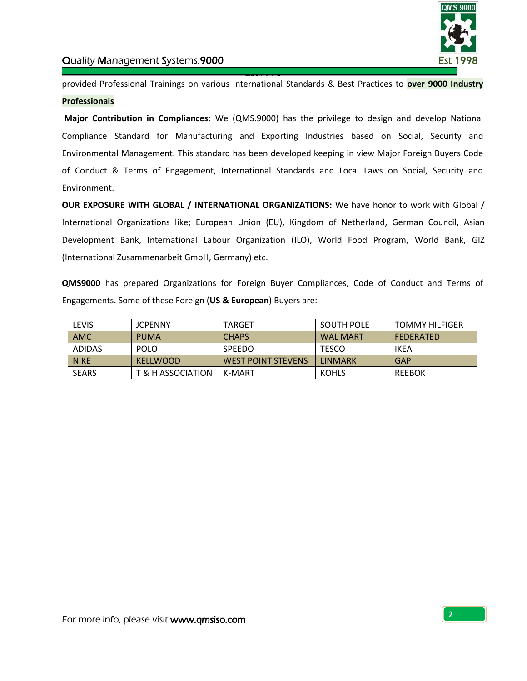

#### Quality Management Systems.9000

Estados de la construcción de la construcción de la construcción de la construcción de la construcción de la c provided Professional Trainings on various International Standards & Best Practices to **over 9000 Industry** 

#### **Professionals**

**Major Contribution in Compliances:** We (QMS.9000) has the privilege to design and develop National Compliance Standard for Manufacturing and Exporting Industries based on Social, Security and Environmental Management. This standard has been developed keeping in view Major Foreign Buyers Code of Conduct & Terms of Engagement, International Standards and Local Laws on Social, Security and Environment.

**OUR EXPOSURE WITH GLOBAL / INTERNATIONAL ORGANIZATIONS:** We have honor to work with Global / International Organizations like; European Union (EU), Kingdom of Netherland, German Council, Asian Development Bank, International Labour Organization (ILO), World Food Program, World Bank, GIZ (International Zusammenarbeit GmbH, Germany) etc.

**QMS9000** has prepared Organizations for Foreign Buyer Compliances, Code of Conduct and Terms of Engagements. Some of these Foreign (**US & European**) Buyers are:

| LEVIS         | <b>JCPFNNY</b>    | <b>TARGFT</b>             | <b>SOUTH POLE</b> | <b>TOMMY HILFIGER</b> |
|---------------|-------------------|---------------------------|-------------------|-----------------------|
| <b>AMC</b>    | <b>PUMA</b>       | <b>CHAPS</b>              | <b>WAL MART</b>   | <b>FFDFRATFD</b>      |
| <b>ADIDAS</b> | <b>POLO</b>       | <b>SPFFDO</b>             | <b>TESCO</b>      | IKEA                  |
| <b>NIKE</b>   | <b>KELLWOOD</b>   | <b>WEST POINT STEVENS</b> | LINMARK           | GAP                   |
| <b>SEARS</b>  | T & H ASSOCIATION | K-MART                    | <b>KOHLS</b>      | <b>REEBOK</b>         |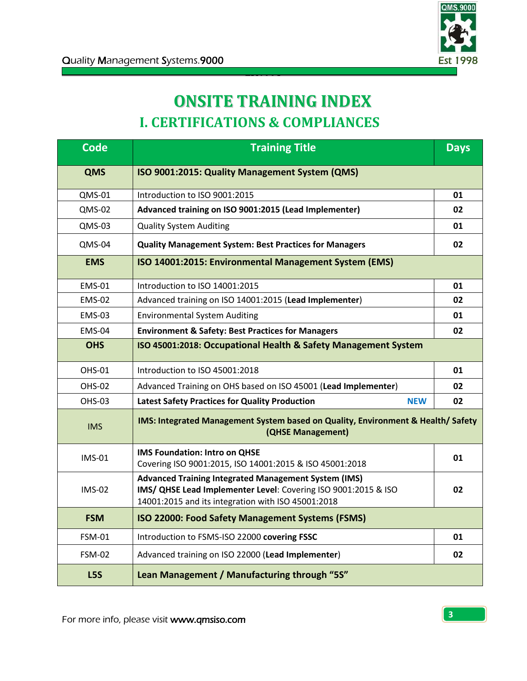

# **ONSITE TRAINING INDEX I. CERTIFICATIONS & COMPLIANCES**

| <b>Code</b>      | <b>Training Title</b>                                                                                                                                                               | <b>Days</b> |
|------------------|-------------------------------------------------------------------------------------------------------------------------------------------------------------------------------------|-------------|
| <b>QMS</b>       | ISO 9001:2015: Quality Management System (QMS)                                                                                                                                      |             |
| <b>QMS-01</b>    | Introduction to ISO 9001:2015                                                                                                                                                       | 01          |
| <b>QMS-02</b>    | Advanced training on ISO 9001:2015 (Lead Implementer)                                                                                                                               | 02          |
| <b>QMS-03</b>    | <b>Quality System Auditing</b>                                                                                                                                                      | 01          |
| QMS-04           | <b>Quality Management System: Best Practices for Managers</b>                                                                                                                       | 02          |
| <b>EMS</b>       | ISO 14001:2015: Environmental Management System (EMS)                                                                                                                               |             |
| <b>EMS-01</b>    | Introduction to ISO 14001:2015                                                                                                                                                      | 01          |
| <b>EMS-02</b>    | Advanced training on ISO 14001:2015 (Lead Implementer)                                                                                                                              | 02          |
| <b>EMS-03</b>    | <b>Environmental System Auditing</b>                                                                                                                                                | 01          |
| $EMS-04$         | <b>Environment &amp; Safety: Best Practices for Managers</b>                                                                                                                        | 02          |
| <b>OHS</b>       | ISO 45001:2018: Occupational Health & Safety Management System                                                                                                                      |             |
| <b>OHS-01</b>    | Introduction to ISO 45001:2018                                                                                                                                                      | 01          |
| <b>OHS-02</b>    | Advanced Training on OHS based on ISO 45001 (Lead Implementer)                                                                                                                      | 02          |
| <b>OHS-03</b>    | <b>Latest Safety Practices for Quality Production</b><br><b>NEW</b>                                                                                                                 | 02          |
| <b>IMS</b>       | IMS: Integrated Management System based on Quality, Environment & Health/ Safety<br>(QHSE Management)                                                                               |             |
| <b>IMS-01</b>    | <b>IMS Foundation: Intro on QHSE</b><br>Covering ISO 9001:2015, ISO 14001:2015 & ISO 45001:2018                                                                                     | 01          |
| <b>IMS-02</b>    | <b>Advanced Training Integrated Management System (IMS)</b><br>IMS/ QHSE Lead Implementer Level: Covering ISO 9001:2015 & ISO<br>14001:2015 and its integration with ISO 45001:2018 | 02          |
| <b>FSM</b>       | ISO 22000: Food Safety Management Systems (FSMS)                                                                                                                                    |             |
| <b>FSM-01</b>    | Introduction to FSMS-ISO 22000 covering FSSC                                                                                                                                        | 01          |
| <b>FSM-02</b>    | Advanced training on ISO 22000 (Lead Implementer)                                                                                                                                   | 02          |
| L <sub>5</sub> S | Lean Management / Manufacturing through "5S"                                                                                                                                        |             |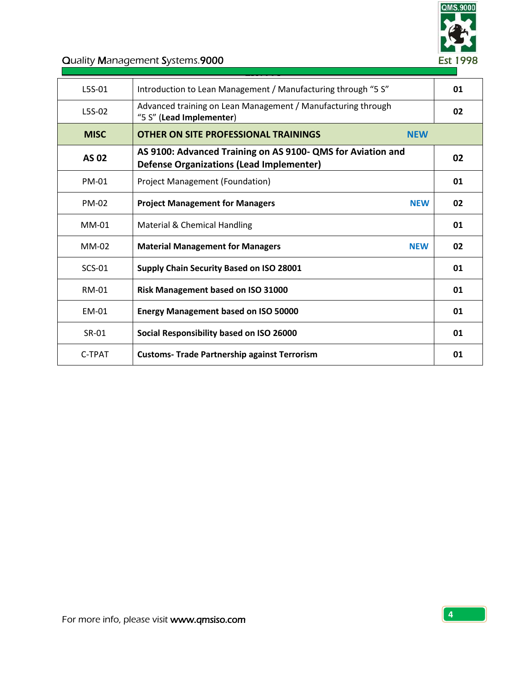

#### **Quality Management Systems.9000** Est 1998

| $L5S-01$     | Introduction to Lean Management / Manufacturing through "5 S"                                                  | 01 |
|--------------|----------------------------------------------------------------------------------------------------------------|----|
| L5S-02       | Advanced training on Lean Management / Manufacturing through<br>"5 S" (Lead Implementer)                       | 02 |
| <b>MISC</b>  | OTHER ON SITE PROFESSIONAL TRAININGS<br><b>NEW</b>                                                             |    |
| <b>AS 02</b> | AS 9100: Advanced Training on AS 9100- QMS for Aviation and<br><b>Defense Organizations (Lead Implementer)</b> | 02 |
| <b>PM-01</b> | <b>Project Management (Foundation)</b>                                                                         | 01 |
| PM-02        | <b>Project Management for Managers</b><br><b>NEW</b>                                                           | 02 |
| $MM-01$      | <b>Material &amp; Chemical Handling</b>                                                                        | 01 |
| $MM-02$      | <b>Material Management for Managers</b><br><b>NEW</b>                                                          | 02 |
| $SCS-01$     | Supply Chain Security Based on ISO 28001                                                                       | 01 |
| <b>RM-01</b> | Risk Management based on ISO 31000                                                                             | 01 |
| EM-01        | <b>Energy Management based on ISO 50000</b>                                                                    | 01 |
| SR-01        | Social Responsibility based on ISO 26000                                                                       | 01 |
| C-TPAT       | <b>Customs- Trade Partnership against Terrorism</b>                                                            | 01 |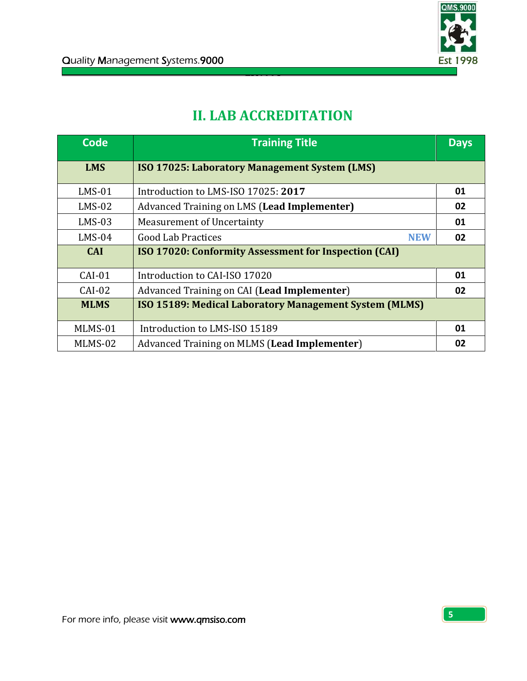

### **II. LAB ACCREDITATION**

| <b>Code</b> | <b>Training Title</b>                                  | <b>Days</b> |
|-------------|--------------------------------------------------------|-------------|
| <b>LMS</b>  | <b>ISO 17025: Laboratory Management System (LMS)</b>   |             |
| $LMS-01$    | Introduction to LMS-ISO 17025: 2017                    | 01          |
| $LMS-02$    | Advanced Training on LMS (Lead Implementer)            | 02          |
| $LMS-03$    | <b>Measurement of Uncertainty</b>                      | 01          |
| $LMS-04$    | <b>Good Lab Practices</b><br><b>NEW</b>                | 02          |
| <b>CAI</b>  | ISO 17020: Conformity Assessment for Inspection (CAI)  |             |
| $CAI-01$    | Introduction to CAI-ISO 17020                          | 01          |
| $CAI-02$    | Advanced Training on CAI (Lead Implementer)            | 02          |
| <b>MLMS</b> | ISO 15189: Medical Laboratory Management System (MLMS) |             |
| MLMS-01     | Introduction to LMS-ISO 15189                          | 01          |
| MLMS-02     | Advanced Training on MLMS (Lead Implementer)           | 02          |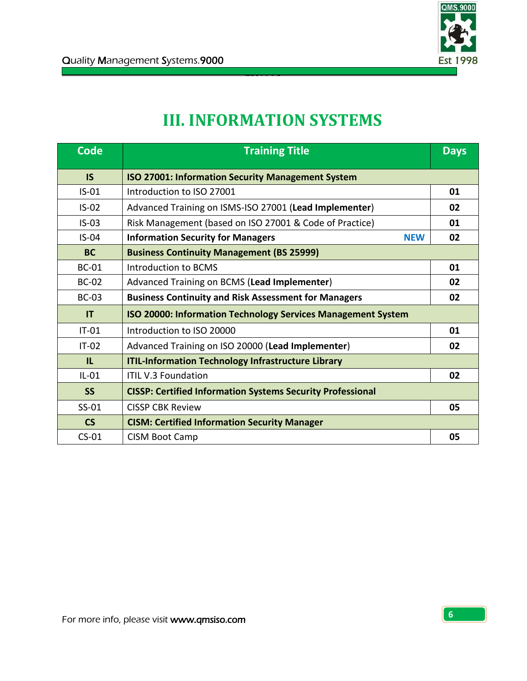

# **III. INFORMATION SYSTEMS**

| <b>Code</b>  | <b>Training Title</b>                                             | <b>Days</b> |
|--------------|-------------------------------------------------------------------|-------------|
| <b>IS</b>    | <b>ISO 27001: Information Security Management System</b>          |             |
| $IS-01$      | Introduction to ISO 27001                                         | 01          |
| $IS-02$      | Advanced Training on ISMS-ISO 27001 (Lead Implementer)            | 02          |
| $IS-03$      | Risk Management (based on ISO 27001 & Code of Practice)           | 01          |
| $IS-04$      | <b>Information Security for Managers</b><br><b>NEW</b>            | 02          |
| <b>BC</b>    | <b>Business Continuity Management (BS 25999)</b>                  |             |
| <b>BC-01</b> | <b>Introduction to BCMS</b>                                       | 01          |
| <b>BC-02</b> | Advanced Training on BCMS (Lead Implementer)                      | 02          |
| <b>BC-03</b> | <b>Business Continuity and Risk Assessment for Managers</b>       | 02          |
| IT           | ISO 20000: Information Technology Services Management System      |             |
| $IT-01$      | Introduction to ISO 20000                                         | 01          |
| $IT-02$      | Advanced Training on ISO 20000 (Lead Implementer)                 | 02          |
| IL.          | <b>ITIL-Information Technology Infrastructure Library</b>         |             |
| $IL-01$      | <b>ITIL V.3 Foundation</b>                                        | 02          |
| <b>SS</b>    | <b>CISSP: Certified Information Systems Security Professional</b> |             |
| $SS-01$      | <b>CISSP CBK Review</b>                                           | 05          |
| <b>CS</b>    | <b>CISM: Certified Information Security Manager</b>               |             |
| $CS-01$      | <b>CISM Boot Camp</b>                                             | 05          |